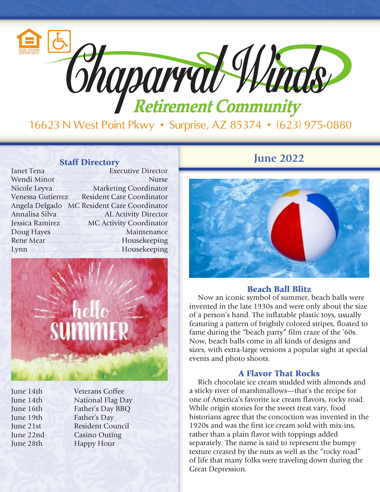

| Janet Tena <b>Executive Director</b>         |
|----------------------------------------------|
| Wendi Minor Nurse                            |
| Nicole Leyva Marketing Coordinator           |
| Venessa Gutierrez  Resident Care Coordinator |
| Angela Delgado MC Resident Care Coordinator  |
|                                              |
| Jessica Ramirez MC Activity Coordinator      |
|                                              |
| Rene Mear Manual Measurement House keeping   |
| Lynn Mousekeeping                            |



June 14th Veterans Coffee June 14th National Flag Day June 16th Father's Day BBQ June 19th Father's Day June 21st Resident Council June 22nd Casino Outing June 28th Happy Hour

## **Staff Directory June 2022**



#### Beach Ball Blitz

Now an iconic symbol of summer, beach balls were invented in the late 1930s and were only about the size of a person's hand. The inflatable plastic toys, usually featuring a pattern of brightly colored stripes, floated to fame during the "beach party" film craze of the '60s. Now, beach balls come in all kinds of designs and sizes, with extra-large versions a popular sight at special events and photo shoots.

### A Flavor That Rocks

Rich chocolate ice cream studded with almonds and a sticky river of marshmallows—that's the recipe for one of America's favorite ice cream flavors, rocky road. While origin stories for the sweet treat vary, food historians agree that the concoction was invented in the 1920s and was the first ice cream sold with mix-ins, rather than a plain flavor with toppings added separately. The name is said to represent the bumpy texture created by the nuts as well as the "rocky road" of life that many folks were traveling down during the Great Depression.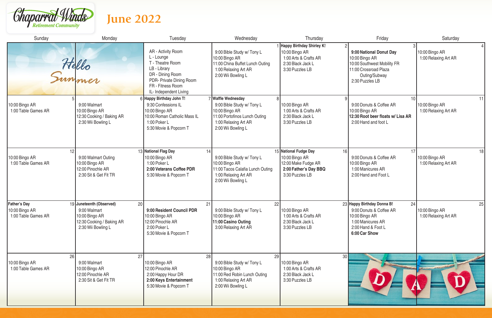

# **June 2022**

| Sunday                                                   | Monday                                                                                                              | Tuesday                                                                                                                                                             | Wednesday                                                                                                                                         | Thursday                                                                                                         | Friday                                                                                                                                    | Saturday                                     |
|----------------------------------------------------------|---------------------------------------------------------------------------------------------------------------------|---------------------------------------------------------------------------------------------------------------------------------------------------------------------|---------------------------------------------------------------------------------------------------------------------------------------------------|------------------------------------------------------------------------------------------------------------------|-------------------------------------------------------------------------------------------------------------------------------------------|----------------------------------------------|
|                                                          | Hello<br>Summer                                                                                                     | AR - Activity Room<br>L - Lounge<br>T - Theatre Room<br>LB - Library<br>DR - Dining Room<br>PDR- Private Dining Room<br>FR - Fitness Room<br>IL- Independent Living | 9:00 Bible Study w/ Tony L<br>10:00 Bingo AR<br>11:00 China Buffet Lunch Outing<br>1:00 Relaxing Art AR<br>2:00 Wii Bowling L                     | Happy Birthday Shirley K!<br>10:00 Bingo AR<br>1:00 Arts & Crafts AR<br>2:30 Black Jack L<br>3:30 Puzzles LB     | 9:00 National Donut Day<br>10:00 Bingo AR<br>10:00 Southwest Mobility FR<br>11:00 Crossroad Plaza<br>Outing/Subway<br>2:30 Puzzles LB     | 10:00 Bingo AR<br>1:00 Relaxing Art AR       |
| 10:00 Bingo AR<br>1:00 Table Games AR                    | 9:00 Walmart<br>10:00 Bingo AR<br>12:30 Cooking / Baking AR<br>2:30 Wii Bowling L                                   | 6 Happy Birthday John T!<br>9:30 Confessions IL<br>10:00 Bingo AR<br>10:00 Roman Catholic Mass IL<br>1:00 Poker L<br>5:30 Movie & Popcorn T                         | 7 Waffle Wednesday<br>9:00 Bible Study w/ Tony L<br>10:00 Bingo AR<br>11:00 Portofinos Lunch Outing<br>1:00 Relaxing Art AR<br>2:00 Wii Bowling L | 10:00 Bingo AR<br>1:00 Arts & Crafts AR<br>2:30 Black Jack L<br>3:30 Puzzles LB                                  | 9:00 Donuts & Coffee AR<br>10:00 Bingo AR<br>12:30 Root beer floats w/ Lisa AR<br>2:00 Hand and foot L                                    | 11<br>10:00 Bingo AR<br>1:00 Relaxing Art AR |
| 12 <sub>2</sub><br>10:00 Bingo AR<br>1:00 Table Games AR | 9:00 Walmart Outing<br>10:00 Bingo AR<br>12:00 Pinochle AR<br>2:30 Sit & Get Fit TR                                 | 13 National Flag Day<br>14<br>10:00 Bingo AR<br>1:00 Poker L<br>2:00 Veterans Coffee PDR<br>5:30 Movie & Popcorn T                                                  | 9:00 Bible Study w/ Tony L<br>10:00 Bingo AR<br>11:00 Tacos Calafia Lunch Outing<br>1:00 Relaxing Art AR<br>2:00 Wii Bowling L                    | 15 National Fudge Day<br>16<br>10:00 Bingo AR<br>12:00 Make Fudge AR<br>2:00 Father's Day BBQ<br>3:30 Puzzles LB | 17<br>9:00 Donuts & Coffee AR<br>10:00 Bingo AR<br>1:00 Manicures AR<br>2:00 Hand and Foot L                                              | 18<br>10:00 Bingo AR<br>1:00 Relaxing Art AR |
| Father's Day<br>10:00 Bingo AR<br>1:00 Table Games AR    | 19 Juneteenth (Observed)<br>20<br>9:00 Walmart<br>10:00 Bingo AR<br>12:30 Cooking / Baking AR<br>2:30 Wii Bowling L | 21<br>9:00 Resident Council PDR<br>10:00 Bingo AR<br>12:00 Pinochle AR<br>2:00 Poker L<br>5:30 Movie & Popcorn T                                                    | 22<br>9:00 Bible Study w/ Tony L<br>10:00 Bingo AR<br>11:00 Casino Outing<br>3:00 Relaxing Art AR                                                 | 10:00 Bingo AR<br>1:00 Arts & Crafts AR<br>2:30 Black Jack L<br>3:30 Puzzles LB                                  | 23 Happy Birthday Donna B!<br>24<br>9:00 Donuts & Coffee AR<br>10:00 Bingo AR<br>1:00 Manicures AR<br>2:00 Hand & Foot L<br>6:00 Car Show | 25<br>10:00 Bingo AR<br>1:00 Relaxing Art AR |
| 26<br>10:00 Bingo AR<br>1:00 Table Games AR              | 27<br>9:00 Walmart<br>10:00 Bingo AR<br>12:00 Pinochle AR<br>2:30 Sit & Get Fit TR                                  | 28<br>10:00 Bingo AR<br>12:00 Pinochle AR<br>2:00 Happy Hour DR<br>2:00 Keys Entertainment<br>5:30 Movie & Popcorn T                                                | 29<br>9:00 Bible Study w/ Tony L<br>10:00 Bingo AR<br>11:00 Red Robin Lunch Outing<br>1:00 Relaxing Art AR<br>2:00 Wii Bowling L                  | 30<br>10:00 Bingo AR<br>1:00 Arts & Crafts AR<br>2:30 Black Jack L<br>3:30 Puzzles LB                            |                                                                                                                                           |                                              |